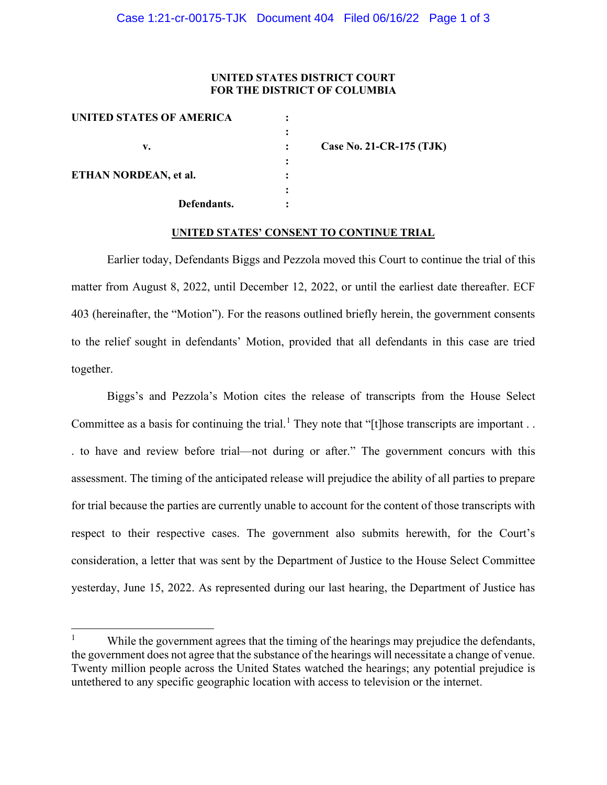## **UNITED STATES DISTRICT COURT FOR THE DISTRICT OF COLUMBIA**

| UNITED STATES OF AMERICA |                          |
|--------------------------|--------------------------|
|                          |                          |
| v.                       | Case No. 21-CR-175 (TJK) |
|                          |                          |
| ETHAN NORDEAN, et al.    |                          |
|                          |                          |
| Defendants.              |                          |
|                          |                          |

## **UNITED STATES' CONSENT TO CONTINUE TRIAL**

Earlier today, Defendants Biggs and Pezzola moved this Court to continue the trial of this matter from August 8, 2022, until December 12, 2022, or until the earliest date thereafter. ECF 403 (hereinafter, the "Motion"). For the reasons outlined briefly herein, the government consents to the relief sought in defendants' Motion, provided that all defendants in this case are tried together.

Biggs's and Pezzola's Motion cites the release of transcripts from the House Select Committee as a basis for continuing the trial.<sup>[1](#page-0-0)</sup> They note that "[t]hose transcripts are important . . . to have and review before trial—not during or after." The government concurs with this assessment. The timing of the anticipated release will prejudice the ability of all parties to prepare for trial because the parties are currently unable to account for the content of those transcripts with respect to their respective cases. The government also submits herewith, for the Court's consideration, a letter that was sent by the Department of Justice to the House Select Committee yesterday, June 15, 2022. As represented during our last hearing, the Department of Justice has

<span id="page-0-0"></span><sup>1</sup> While the government agrees that the timing of the hearings may prejudice the defendants, the government does not agree that the substance of the hearings will necessitate a change of venue. Twenty million people across the United States watched the hearings; any potential prejudice is untethered to any specific geographic location with access to television or the internet.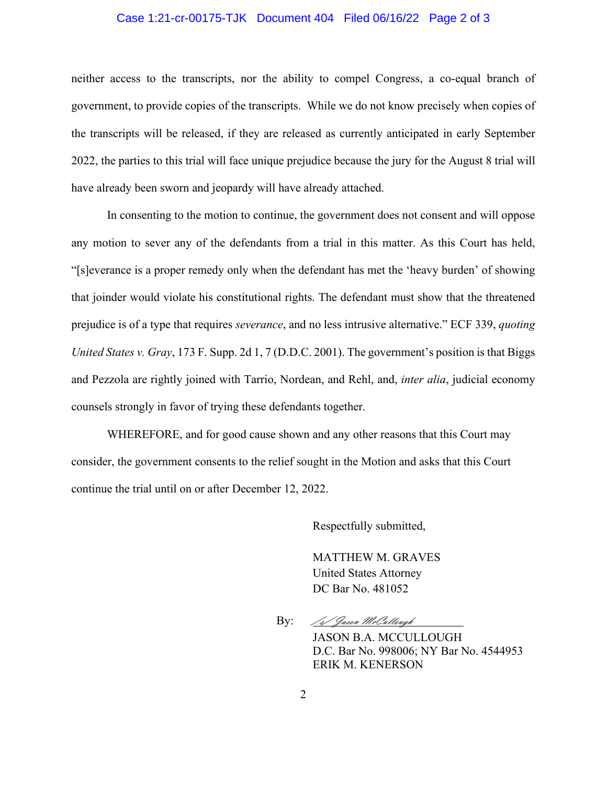## Case 1:21-cr-00175-TJK Document 404 Filed 06/16/22 Page 2 of 3

neither access to the transcripts, nor the ability to compel Congress, a co-equal branch of government, to provide copies of the transcripts. While we do not know precisely when copies of the transcripts will be released, if they are released as currently anticipated in early September 2022, the parties to this trial will face unique prejudice because the jury for the August 8 trial will have already been sworn and jeopardy will have already attached.

In consenting to the motion to continue, the government does not consent and will oppose any motion to sever any of the defendants from a trial in this matter. As this Court has held, "[s]everance is a proper remedy only when the defendant has met the 'heavy burden' of showing that joinder would violate his constitutional rights. The defendant must show that the threatened prejudice is of a type that requires *severance*, and no less intrusive alternative." ECF 339, *quoting United States v. Gray*, 173 F. Supp. 2d 1, 7 (D.D.C. 2001). The government's position is that Biggs and Pezzola are rightly joined with Tarrio, Nordean, and Rehl, and, *inter alia*, judicial economy counsels strongly in favor of trying these defendants together.

WHEREFORE, and for good cause shown and any other reasons that this Court may consider, the government consents to the relief sought in the Motion and asks that this Court continue the trial until on or after December 12, 2022.

Respectfully submitted,

MATTHEW M. GRAVES United States Attorney DC Bar No. 481052

By: */s/ Jasen McCulleugh* 

JASON B.A. MCCULLOUGH D.C. Bar No. 998006; NY Bar No. 4544953 ERIK M. KENERSON